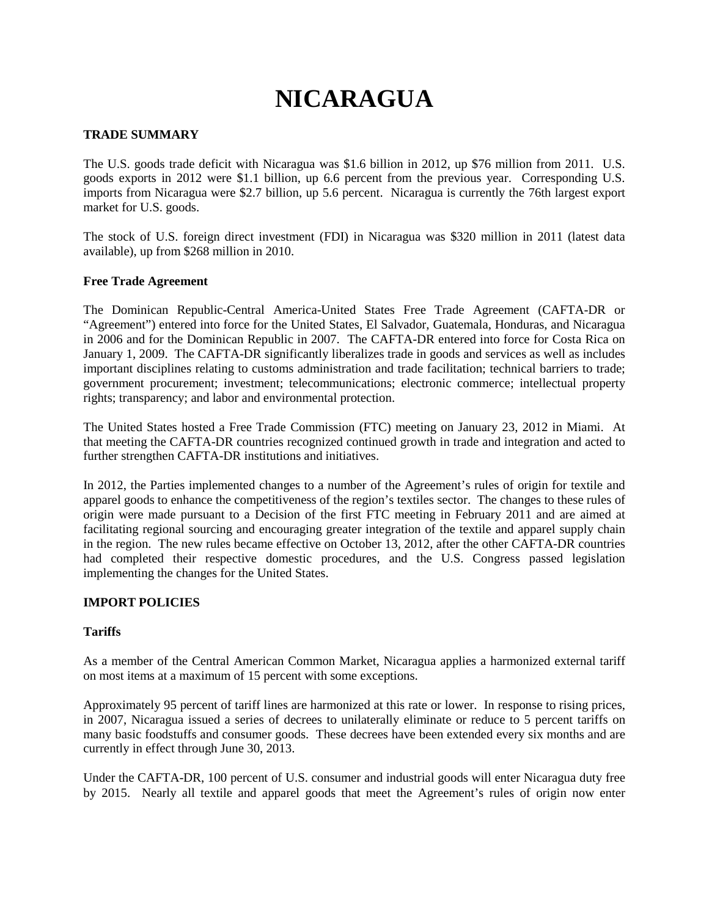# **NICARAGUA**

## **TRADE SUMMARY**

The U.S. goods trade deficit with Nicaragua was \$1.6 billion in 2012, up \$76 million from 2011. U.S. goods exports in 2012 were \$1.1 billion, up 6.6 percent from the previous year. Corresponding U.S. imports from Nicaragua were \$2.7 billion, up 5.6 percent. Nicaragua is currently the 76th largest export market for U.S. goods.

The stock of U.S. foreign direct investment (FDI) in Nicaragua was \$320 million in 2011 (latest data available), up from \$268 million in 2010.

## **Free Trade Agreement**

The Dominican Republic-Central America-United States Free Trade Agreement (CAFTA-DR or "Agreement") entered into force for the United States, El Salvador, Guatemala, Honduras, and Nicaragua in 2006 and for the Dominican Republic in 2007. The CAFTA-DR entered into force for Costa Rica on January 1, 2009. The CAFTA-DR significantly liberalizes trade in goods and services as well as includes important disciplines relating to customs administration and trade facilitation; technical barriers to trade; government procurement; investment; telecommunications; electronic commerce; intellectual property rights; transparency; and labor and environmental protection.

The United States hosted a Free Trade Commission (FTC) meeting on January 23, 2012 in Miami. At that meeting the CAFTA-DR countries recognized continued growth in trade and integration and acted to further strengthen CAFTA-DR institutions and initiatives.

In 2012, the Parties implemented changes to a number of the Agreement's rules of origin for textile and apparel goods to enhance the competitiveness of the region's textiles sector. The changes to these rules of origin were made pursuant to a Decision of the first FTC meeting in February 2011 and are aimed at facilitating regional sourcing and encouraging greater integration of the textile and apparel supply chain in the region. The new rules became effective on October 13, 2012, after the other CAFTA-DR countries had completed their respective domestic procedures, and the U.S. Congress passed legislation implementing the changes for the United States.

## **IMPORT POLICIES**

## **Tariffs**

As a member of the Central American Common Market, Nicaragua applies a harmonized external tariff on most items at a maximum of 15 percent with some exceptions.

Approximately 95 percent of tariff lines are harmonized at this rate or lower. In response to rising prices, in 2007, Nicaragua issued a series of decrees to unilaterally eliminate or reduce to 5 percent tariffs on many basic foodstuffs and consumer goods. These decrees have been extended every six months and are currently in effect through June 30, 2013.

Under the CAFTA-DR, 100 percent of U.S. consumer and industrial goods will enter Nicaragua duty free by 2015. Nearly all textile and apparel goods that meet the Agreement's rules of origin now enter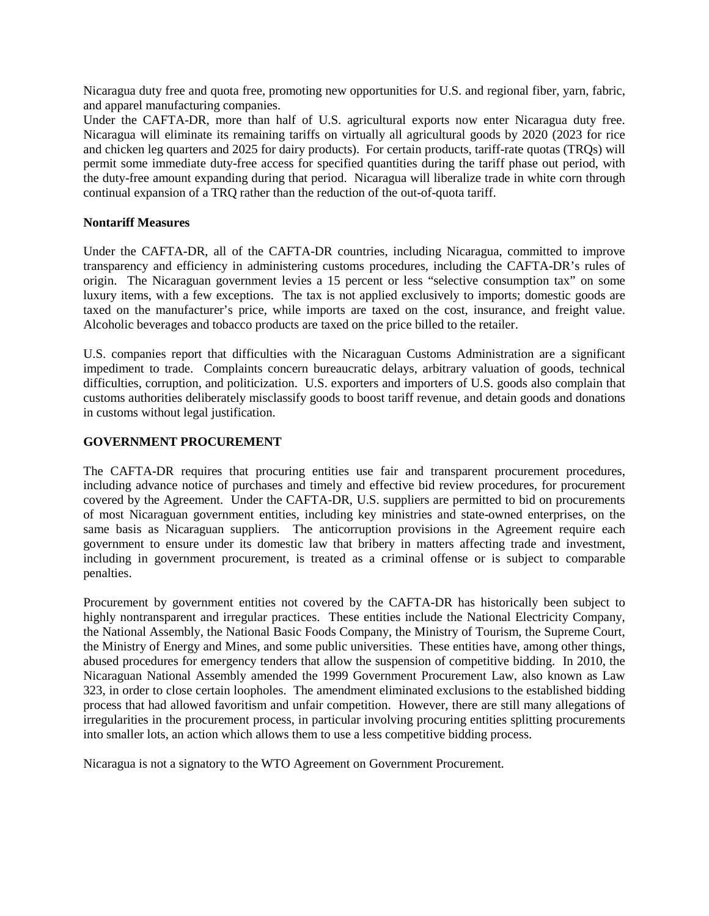Nicaragua duty free and quota free, promoting new opportunities for U.S. and regional fiber, yarn, fabric, and apparel manufacturing companies.

Under the CAFTA-DR, more than half of U.S. agricultural exports now enter Nicaragua duty free. Nicaragua will eliminate its remaining tariffs on virtually all agricultural goods by 2020 (2023 for rice and chicken leg quarters and 2025 for dairy products). For certain products, tariff-rate quotas (TRQs) will permit some immediate duty-free access for specified quantities during the tariff phase out period, with the duty-free amount expanding during that period. Nicaragua will liberalize trade in white corn through continual expansion of a TRQ rather than the reduction of the out-of-quota tariff.

### **Nontariff Measures**

Under the CAFTA-DR, all of the CAFTA-DR countries, including Nicaragua, committed to improve transparency and efficiency in administering customs procedures, including the CAFTA-DR's rules of origin. The Nicaraguan government levies a 15 percent or less "selective consumption tax" on some luxury items, with a few exceptions. The tax is not applied exclusively to imports; domestic goods are taxed on the manufacturer's price, while imports are taxed on the cost, insurance, and freight value. Alcoholic beverages and tobacco products are taxed on the price billed to the retailer.

U.S. companies report that difficulties with the Nicaraguan Customs Administration are a significant impediment to trade. Complaints concern bureaucratic delays, arbitrary valuation of goods, technical difficulties, corruption, and politicization. U.S. exporters and importers of U.S. goods also complain that customs authorities deliberately misclassify goods to boost tariff revenue, and detain goods and donations in customs without legal justification.

## **GOVERNMENT PROCUREMENT**

The CAFTA-DR requires that procuring entities use fair and transparent procurement procedures, including advance notice of purchases and timely and effective bid review procedures, for procurement covered by the Agreement. Under the CAFTA-DR, U.S. suppliers are permitted to bid on procurements of most Nicaraguan government entities, including key ministries and state-owned enterprises, on the same basis as Nicaraguan suppliers. The anticorruption provisions in the Agreement require each government to ensure under its domestic law that bribery in matters affecting trade and investment, including in government procurement, is treated as a criminal offense or is subject to comparable penalties.

Procurement by government entities not covered by the CAFTA-DR has historically been subject to highly nontransparent and irregular practices. These entities include the National Electricity Company, the National Assembly, the National Basic Foods Company, the Ministry of Tourism, the Supreme Court, the Ministry of Energy and Mines, and some public universities. These entities have, among other things, abused procedures for emergency tenders that allow the suspension of competitive bidding. In 2010, the Nicaraguan National Assembly amended the 1999 Government Procurement Law, also known as Law 323, in order to close certain loopholes. The amendment eliminated exclusions to the established bidding process that had allowed favoritism and unfair competition. However, there are still many allegations of irregularities in the procurement process, in particular involving procuring entities splitting procurements into smaller lots, an action which allows them to use a less competitive bidding process.

Nicaragua is not a signatory to the WTO Agreement on Government Procurement.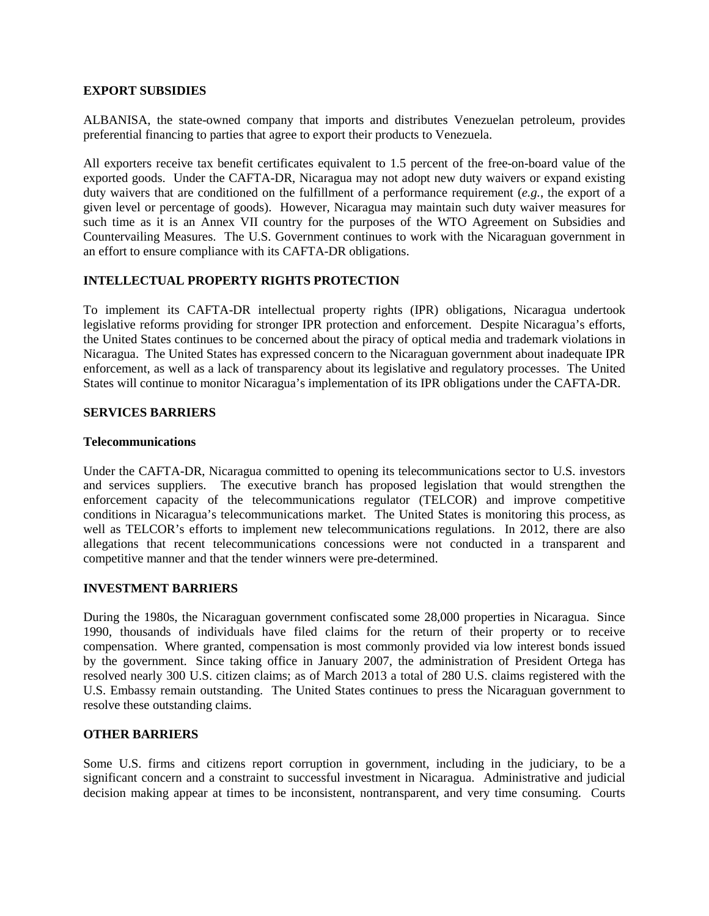### **EXPORT SUBSIDIES**

ALBANISA, the state-owned company that imports and distributes Venezuelan petroleum, provides preferential financing to parties that agree to export their products to Venezuela.

All exporters receive tax benefit certificates equivalent to 1.5 percent of the free-on-board value of the exported goods. Under the CAFTA-DR, Nicaragua may not adopt new duty waivers or expand existing duty waivers that are conditioned on the fulfillment of a performance requirement (*e.g.*, the export of a given level or percentage of goods). However, Nicaragua may maintain such duty waiver measures for such time as it is an Annex VII country for the purposes of the WTO Agreement on Subsidies and Countervailing Measures. The U.S. Government continues to work with the Nicaraguan government in an effort to ensure compliance with its CAFTA-DR obligations.

## **INTELLECTUAL PROPERTY RIGHTS PROTECTION**

To implement its CAFTA-DR intellectual property rights (IPR) obligations, Nicaragua undertook legislative reforms providing for stronger IPR protection and enforcement. Despite Nicaragua's efforts, the United States continues to be concerned about the piracy of optical media and trademark violations in Nicaragua. The United States has expressed concern to the Nicaraguan government about inadequate IPR enforcement, as well as a lack of transparency about its legislative and regulatory processes. The United States will continue to monitor Nicaragua's implementation of its IPR obligations under the CAFTA-DR.

## **SERVICES BARRIERS**

#### **Telecommunications**

Under the CAFTA-DR, Nicaragua committed to opening its telecommunications sector to U.S. investors and services suppliers. The executive branch has proposed legislation that would strengthen the enforcement capacity of the telecommunications regulator (TELCOR) and improve competitive conditions in Nicaragua's telecommunications market. The United States is monitoring this process, as well as TELCOR's efforts to implement new telecommunications regulations. In 2012, there are also allegations that recent telecommunications concessions were not conducted in a transparent and competitive manner and that the tender winners were pre-determined.

## **INVESTMENT BARRIERS**

During the 1980s, the Nicaraguan government confiscated some 28,000 properties in Nicaragua. Since 1990, thousands of individuals have filed claims for the return of their property or to receive compensation. Where granted, compensation is most commonly provided via low interest bonds issued by the government. Since taking office in January 2007, the administration of President Ortega has resolved nearly 300 U.S. citizen claims; as of March 2013 a total of 280 U.S. claims registered with the U.S. Embassy remain outstanding. The United States continues to press the Nicaraguan government to resolve these outstanding claims.

## **OTHER BARRIERS**

Some U.S. firms and citizens report corruption in government, including in the judiciary, to be a significant concern and a constraint to successful investment in Nicaragua. Administrative and judicial decision making appear at times to be inconsistent, nontransparent, and very time consuming. Courts